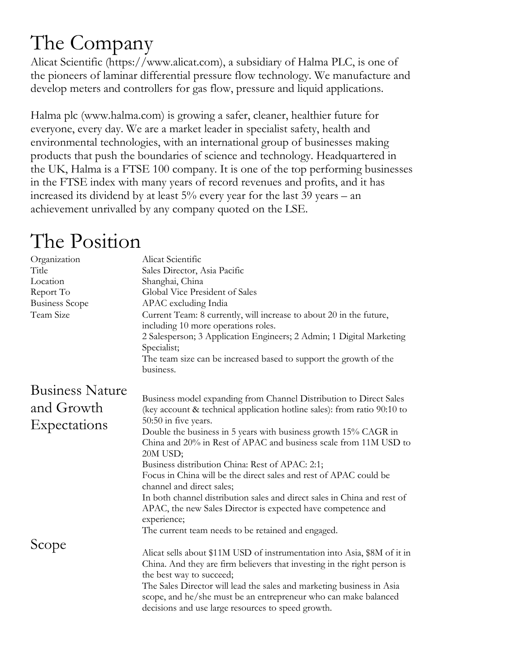## The Company

Alicat Scientific (https://www.alicat.com), a subsidiary of Halma PLC, is one of the pioneers of laminar differential pressure flow technology. We manufacture and develop meters and controllers for gas flow, pressure and liquid applications.

Halma plc (www.halma.com) is growing a safer, cleaner, healthier future for everyone, every day. We are a market leader in specialist safety, health and environmental technologies, with an international group of businesses making products that push the boundaries of science and technology. Headquartered in the UK, Halma is a FTSE 100 company. It is one of the top performing businesses in the FTSE index with many years of record revenues and profits, and it has increased its dividend by at least 5% every year for the last 39 years – an achievement unrivalled by any company quoted on the LSE.

## The Position

| Organization<br>Title<br>Location<br>Report To<br><b>Business Scope</b><br>Team Size | Alicat Scientific<br>Sales Director, Asia Pacific<br>Shanghai, China<br>Global Vice President of Sales<br>APAC excluding India<br>Current Team: 8 currently, will increase to about 20 in the future,<br>including 10 more operations roles.<br>2 Salesperson; 3 Application Engineers; 2 Admin; 1 Digital Marketing<br>Specialist;<br>The team size can be increased based to support the growth of the<br>business.                                                                                                                                                                                                                                                                           |
|--------------------------------------------------------------------------------------|-------------------------------------------------------------------------------------------------------------------------------------------------------------------------------------------------------------------------------------------------------------------------------------------------------------------------------------------------------------------------------------------------------------------------------------------------------------------------------------------------------------------------------------------------------------------------------------------------------------------------------------------------------------------------------------------------|
| <b>Business Nature</b><br>and Growth<br>Expectations                                 | Business model expanding from Channel Distribution to Direct Sales<br>(key account & technical application hotline sales): from ratio 90:10 to<br>50:50 in five years.<br>Double the business in 5 years with business growth 15% CAGR in<br>China and 20% in Rest of APAC and business scale from 11M USD to<br>20M USD;<br>Business distribution China: Rest of APAC: 2:1;<br>Focus in China will be the direct sales and rest of APAC could be<br>channel and direct sales;<br>In both channel distribution sales and direct sales in China and rest of<br>APAC, the new Sales Director is expected have competence and<br>experience;<br>The current team needs to be retained and engaged. |
| Scope                                                                                | Alicat sells about \$11M USD of instrumentation into Asia, \$8M of it in<br>China. And they are firm believers that investing in the right person is<br>the best way to succeed;<br>The Sales Director will lead the sales and marketing business in Asia<br>scope, and he/she must be an entrepreneur who can make balanced<br>decisions and use large resources to speed growth.                                                                                                                                                                                                                                                                                                              |